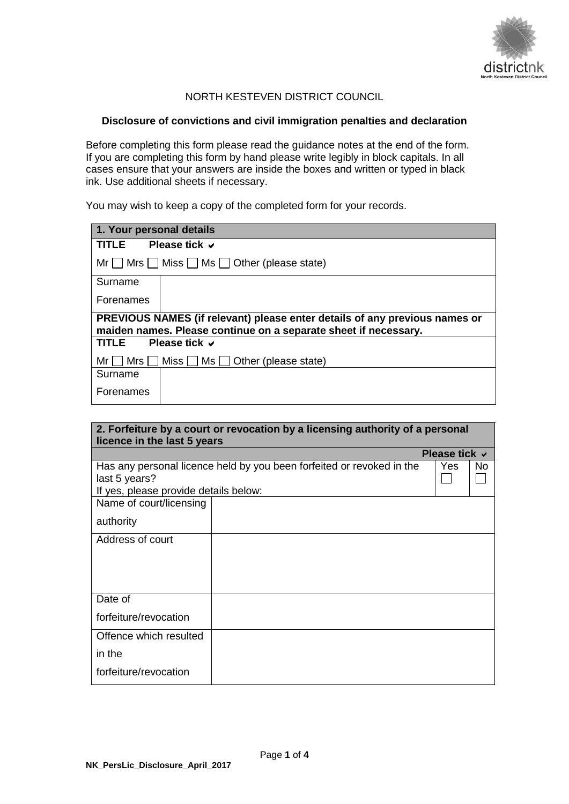

# NORTH KESTEVEN DISTRICT COUNCIL

#### **Disclosure of convictions and civil immigration penalties and declaration**

Before completing this form please read the guidance notes at the end of the form. If you are completing this form by hand please write legibly in block capitals. In all cases ensure that your answers are inside the boxes and written or typed in black ink. Use additional sheets if necessary.

You may wish to keep a copy of the completed form for your records.

| 1. Your personal details                                                                                                                      |                                                       |  |
|-----------------------------------------------------------------------------------------------------------------------------------------------|-------------------------------------------------------|--|
| TI F                                                                                                                                          | Please tick v                                         |  |
|                                                                                                                                               | $Mr \tMrs$ Miss $\Box$ Ms $\Box$ Other (please state) |  |
| Surname                                                                                                                                       |                                                       |  |
| Forenames                                                                                                                                     |                                                       |  |
| PREVIOUS NAMES (if relevant) please enter details of any previous names or<br>maiden names. Please continue on a separate sheet if necessary. |                                                       |  |
| TITLE                                                                                                                                         | Please tick $\vee$                                    |  |
| l Mrs I<br>Mr I                                                                                                                               | Miss □ Ms □ Other (please state)                      |  |
| Surname                                                                                                                                       |                                                       |  |
| Forenames                                                                                                                                     |                                                       |  |

| 2. Forfeiture by a court or revocation by a licensing authority of a personal<br>licence in the last 5 years |                                                                       |                    |    |
|--------------------------------------------------------------------------------------------------------------|-----------------------------------------------------------------------|--------------------|----|
|                                                                                                              |                                                                       | Please tick $\vee$ |    |
| last 5 years?<br>If yes, please provide details below:                                                       | Has any personal licence held by you been forfeited or revoked in the | Yes                | No |
| Name of court/licensing<br>authority                                                                         |                                                                       |                    |    |
| Address of court                                                                                             |                                                                       |                    |    |
| Date of                                                                                                      |                                                                       |                    |    |
| forfeiture/revocation                                                                                        |                                                                       |                    |    |
| Offence which resulted                                                                                       |                                                                       |                    |    |
| in the                                                                                                       |                                                                       |                    |    |
| forfeiture/revocation                                                                                        |                                                                       |                    |    |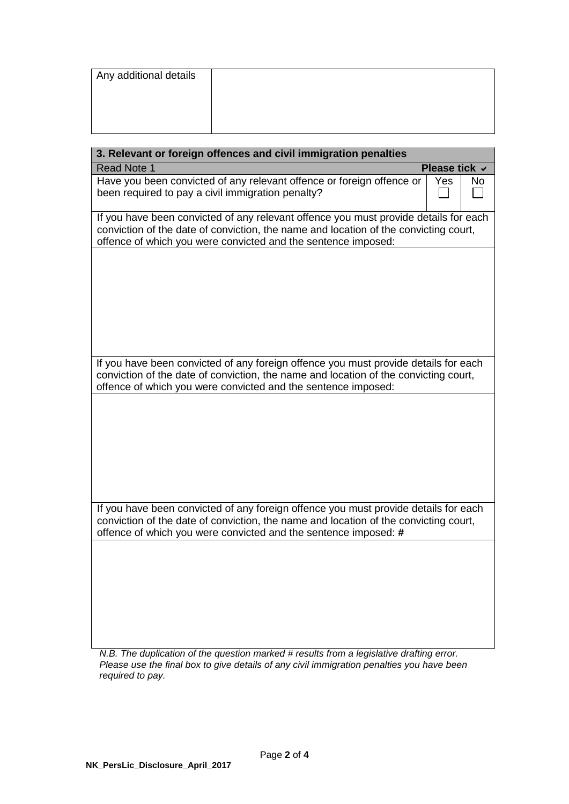| Any additional details |  |  |
|------------------------|--|--|
|                        |  |  |
|                        |  |  |
|                        |  |  |

| 3. Relevant or foreign offences and civil immigration penalties                                                                                                                                                                                |                                                                                                                                                                              |    |  |
|------------------------------------------------------------------------------------------------------------------------------------------------------------------------------------------------------------------------------------------------|------------------------------------------------------------------------------------------------------------------------------------------------------------------------------|----|--|
| <b>Read Note 1</b>                                                                                                                                                                                                                             | Please tick ∨                                                                                                                                                                |    |  |
| Have you been convicted of any relevant offence or foreign offence or<br>been required to pay a civil immigration penalty?                                                                                                                     | Yes                                                                                                                                                                          | No |  |
| offence of which you were convicted and the sentence imposed:                                                                                                                                                                                  | If you have been convicted of any relevant offence you must provide details for each<br>conviction of the date of conviction, the name and location of the convicting court, |    |  |
|                                                                                                                                                                                                                                                |                                                                                                                                                                              |    |  |
|                                                                                                                                                                                                                                                |                                                                                                                                                                              |    |  |
|                                                                                                                                                                                                                                                |                                                                                                                                                                              |    |  |
| If you have been convicted of any foreign offence you must provide details for each<br>conviction of the date of conviction, the name and location of the convicting court,<br>offence of which you were convicted and the sentence imposed:   |                                                                                                                                                                              |    |  |
|                                                                                                                                                                                                                                                |                                                                                                                                                                              |    |  |
|                                                                                                                                                                                                                                                |                                                                                                                                                                              |    |  |
|                                                                                                                                                                                                                                                |                                                                                                                                                                              |    |  |
|                                                                                                                                                                                                                                                |                                                                                                                                                                              |    |  |
| If you have been convicted of any foreign offence you must provide details for each<br>conviction of the date of conviction, the name and location of the convicting court,<br>offence of which you were convicted and the sentence imposed: # |                                                                                                                                                                              |    |  |
|                                                                                                                                                                                                                                                |                                                                                                                                                                              |    |  |
|                                                                                                                                                                                                                                                |                                                                                                                                                                              |    |  |
|                                                                                                                                                                                                                                                |                                                                                                                                                                              |    |  |
|                                                                                                                                                                                                                                                |                                                                                                                                                                              |    |  |

*N.B. The duplication of the question marked # results from a legislative drafting error. Please use the final box to give details of any civil immigration penalties you have been required to pay.*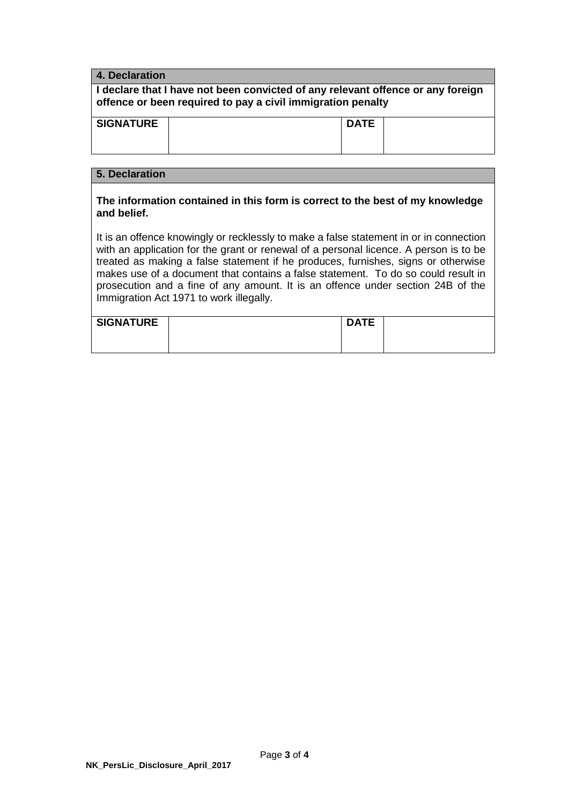| 4. Declaration                                                                                                                                 |             |  |  |
|------------------------------------------------------------------------------------------------------------------------------------------------|-------------|--|--|
| I declare that I have not been convicted of any relevant offence or any foreign<br>offence or been required to pay a civil immigration penalty |             |  |  |
| <b>SIGNATURE</b>                                                                                                                               | <b>DATE</b> |  |  |
| 5. Declaration                                                                                                                                 |             |  |  |
| The information contained in this form is correct to the hest of my knowledge                                                                  |             |  |  |

### **The information contained in this form is correct to the best of my knowledge and belief.**

It is an offence knowingly or recklessly to make a false statement in or in connection with an application for the grant or renewal of a personal licence. A person is to be treated as making a false statement if he produces, furnishes, signs or otherwise makes use of a document that contains a false statement. To do so could result in prosecution and a fine of any amount. It is an offence under section 24B of the Immigration Act 1971 to work illegally.

| SIGNATURE | <b>DATE</b> |  |
|-----------|-------------|--|
|           |             |  |
|           |             |  |